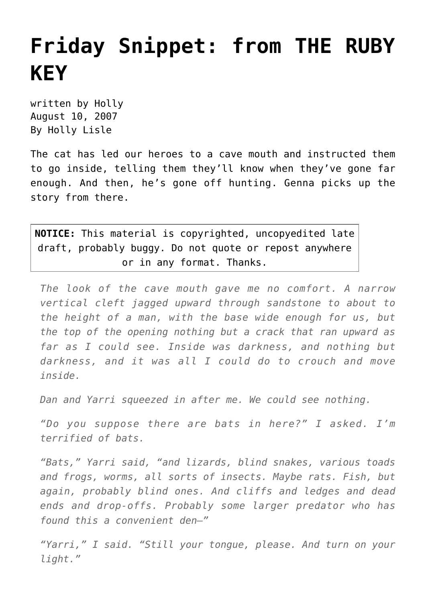## **[Friday Snippet: from THE RUBY](https://hollylisle.com/friday-snippet-from-the-ruby-key-4/) [KEY](https://hollylisle.com/friday-snippet-from-the-ruby-key-4/)**

written by Holly August 10, 2007 [By Holly Lisle](https://hollylisle.com)

The cat has led our heroes to a cave mouth and instructed them to go inside, telling them they'll know when they've gone far enough. And then, he's gone off hunting. Genna picks up the story from there.

**NOTICE:** This material is copyrighted, uncopyedited late draft, probably buggy. Do not quote or repost anywhere or in any format. Thanks.

*The look of the cave mouth gave me no comfort. A narrow vertical cleft jagged upward through sandstone to about to the height of a man, with the base wide enough for us, but the top of the opening nothing but a crack that ran upward as far as I could see. Inside was darkness, and nothing but darkness, and it was all I could do to crouch and move inside.*

*Dan and Yarri squeezed in after me. We could see nothing.*

*"Do you suppose there are bats in here?" I asked. I'm terrified of bats.*

*"Bats," Yarri said, "and lizards, blind snakes, various toads and frogs, worms, all sorts of insects. Maybe rats. Fish, but again, probably blind ones. And cliffs and ledges and dead ends and drop-offs. Probably some larger predator who has found this a convenient den—"*

*"Yarri," I said. "Still your tongue, please. And turn on your light."*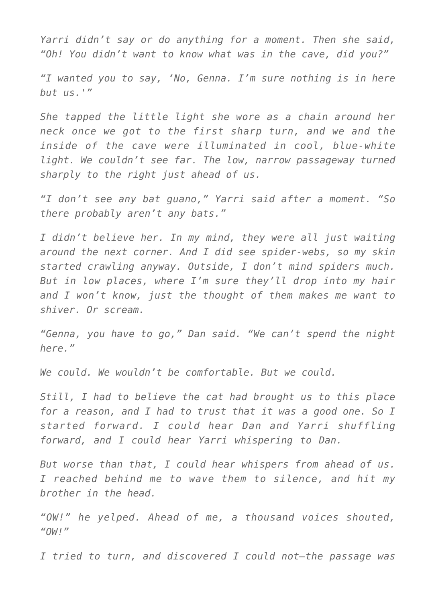*Yarri didn't say or do anything for a moment. Then she said, "Oh! You didn't want to know what was in the cave, did you?"*

*"I wanted you to say, 'No, Genna. I'm sure nothing is in here but us.'"*

*She tapped the little light she wore as a chain around her neck once we got to the first sharp turn, and we and the inside of the cave were illuminated in cool, blue-white light. We couldn't see far. The low, narrow passageway turned sharply to the right just ahead of us.*

*"I don't see any bat guano," Yarri said after a moment. "So there probably aren't any bats."*

*I didn't believe her. In my mind, they were all just waiting around the next corner. And I did see spider-webs, so my skin started crawling anyway. Outside, I don't mind spiders much. But in low places, where I'm sure they'll drop into my hair and I won't know, just the thought of them makes me want to shiver. Or scream.*

*"Genna, you have to go," Dan said. "We can't spend the night here."*

*We could. We wouldn't be comfortable. But we could.*

*Still, I had to believe the cat had brought us to this place for a reason, and I had to trust that it was a good one. So I started forward. I could hear Dan and Yarri shuffling forward, and I could hear Yarri whispering to Dan.*

*But worse than that, I could hear whispers from ahead of us. I reached behind me to wave them to silence, and hit my brother in the head.*

*"OW!" he yelped. Ahead of me, a thousand voices shouted, "OW!"*

*I tried to turn, and discovered I could not—the passage was*